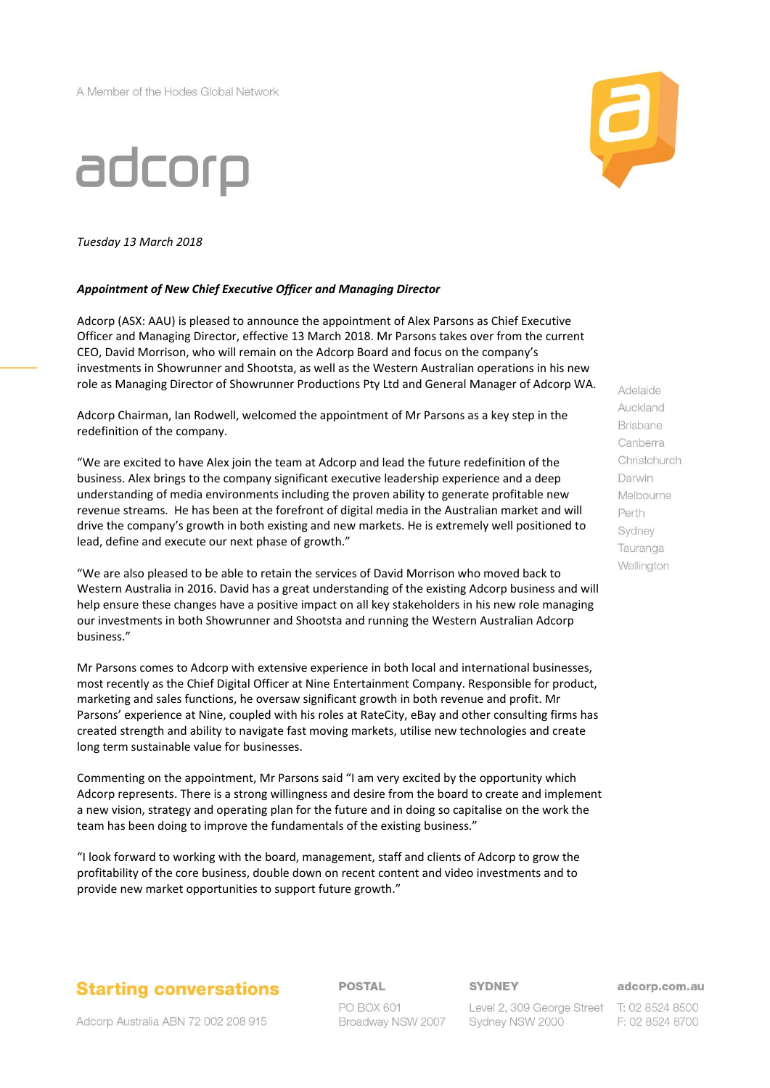A Member of the Hodes Global Network





*Tuesday 13 March 2018*

#### *Appointment of New Chief Executive Officer and Managing Director*

Adcorp (ASX: AAU) is pleased to announce the appointment of Alex Parsons as Chief Executive Officer and Managing Director, effective 13 March 2018. Mr Parsons takes over from the current CEO, David Morrison, who will remain on the Adcorp Board and focus on the company's investments in Showrunner and Shootsta, as well as the Western Australian operations in his new role as Managing Director of Showrunner Productions Pty Ltd and General Manager of Adcorp WA.

Adcorp Chairman, Ian Rodwell, welcomed the appointment of Mr Parsons as a key step in the redefinition of the company.

"We are excited to have Alex join the team at Adcorp and lead the future redefinition of the business. Alex brings to the company significant executive leadership experience and a deep understanding of media environments including the proven ability to generate profitable new revenue streams. He has been at the forefront of digital media in the Australian market and will drive the company's growth in both existing and new markets. He is extremely well positioned to lead, define and execute our next phase of growth."

"We are also pleased to be able to retain the services of David Morrison who moved back to Western Australia in 2016. David has a great understanding of the existing Adcorp business and will help ensure these changes have a positive impact on all key stakeholders in his new role managing our investments in both Showrunner and Shootsta and running the Western Australian Adcorp business."

Mr Parsons comes to Adcorp with extensive experience in both local and international businesses, most recently as the Chief Digital Officer at Nine Entertainment Company. Responsible for product, marketing and sales functions, he oversaw significant growth in both revenue and profit. Mr Parsons' experience at Nine, coupled with his roles at RateCity, eBay and other consulting firms has created strength and ability to navigate fast moving markets, utilise new technologies and create long term sustainable value for businesses.

Commenting on the appointment, Mr Parsons said "I am very excited by the opportunity which Adcorp represents. There is a strong willingness and desire from the board to create and implement a new vision, strategy and operating plan for the future and in doing so capitalise on the work the team has been doing to improve the fundamentals of the existing business."

"I look forward to working with the board, management, staff and clients of Adcorp to grow the profitability of the core business, double down on recent content and video investments and to provide new market opportunities to support future growth."

## **Starting conversations**

**POSTAL** 

**SYDNEY** 

adcorp.com.au

Adcorp Australia ABN 72 002 208 915

PO BOX 601 Broadway NSW 2007

Level 2, 309 George Street T: 02 8524 8500 Sydney NSW 2000

F: 02 8524 8700

Adelaide Auckland **Brisbane** Canberra Christchurch Darwin Melbourne Perth Sydney Tauranga Wellington